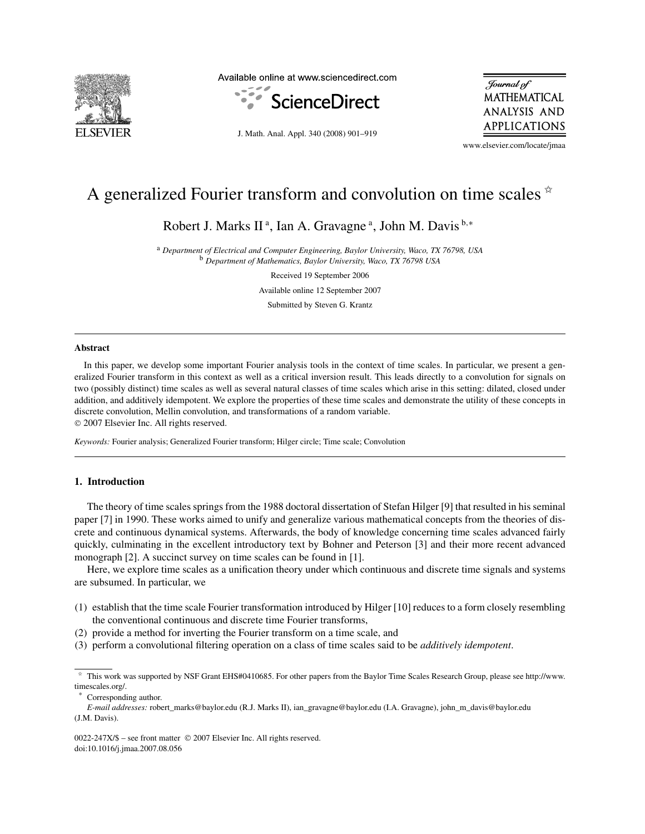

Available online at www.sciencedirect.com



Journal of **MATHEMATICAL ANALYSIS AND** APPLICATIONS

J. Math. Anal. Appl. 340 (2008) 901–919

www.elsevier.com/locate/jmaa

# A generalized Fourier transform and convolution on time scales  $*$

Robert J. Marks II<sup>a</sup>, Ian A. Gravagne<sup>a</sup>, John M. Davis<sup>b,\*</sup>

<sup>a</sup> *Department of Electrical and Computer Engineering, Baylor University, Waco, TX 76798, USA* <sup>b</sup> *Department of Mathematics, Baylor University, Waco, TX 76798 USA*

Received 19 September 2006

Available online 12 September 2007

Submitted by Steven G. Krantz

#### **Abstract**

In this paper, we develop some important Fourier analysis tools in the context of time scales. In particular, we present a generalized Fourier transform in this context as well as a critical inversion result. This leads directly to a convolution for signals on two (possibly distinct) time scales as well as several natural classes of time scales which arise in this setting: dilated, closed under addition, and additively idempotent. We explore the properties of these time scales and demonstrate the utility of these concepts in discrete convolution, Mellin convolution, and transformations of a random variable.

© 2007 Elsevier Inc. All rights reserved.

*Keywords:* Fourier analysis; Generalized Fourier transform; Hilger circle; Time scale; Convolution

### **1. Introduction**

The theory of time scales springs from the 1988 doctoral dissertation of Stefan Hilger [9] that resulted in his seminal paper [7] in 1990. These works aimed to unify and generalize various mathematical concepts from the theories of discrete and continuous dynamical systems. Afterwards, the body of knowledge concerning time scales advanced fairly quickly, culminating in the excellent introductory text by Bohner and Peterson [3] and their more recent advanced monograph [2]. A succinct survey on time scales can be found in [1].

Here, we explore time scales as a unification theory under which continuous and discrete time signals and systems are subsumed. In particular, we

- (1) establish that the time scale Fourier transformation introduced by Hilger [10] reduces to a form closely resembling the conventional continuous and discrete time Fourier transforms,
- (2) provide a method for inverting the Fourier transform on a time scale, and
- (3) perform a convolutional filtering operation on a class of time scales said to be *additively idempotent*.

<sup>✩</sup> This work was supported by NSF Grant EHS#0410685. For other papers from the Baylor Time Scales Research Group, please see http://www. timescales.org/.

Corresponding author.

*E-mail addresses:* robert\_marks@baylor.edu (R.J. Marks II), ian\_gravagne@baylor.edu (I.A. Gravagne), john\_m\_davis@baylor.edu (J.M. Davis).

<sup>0022-247</sup>X/\$ – see front matter © 2007 Elsevier Inc. All rights reserved. doi:10.1016/j.jmaa.2007.08.056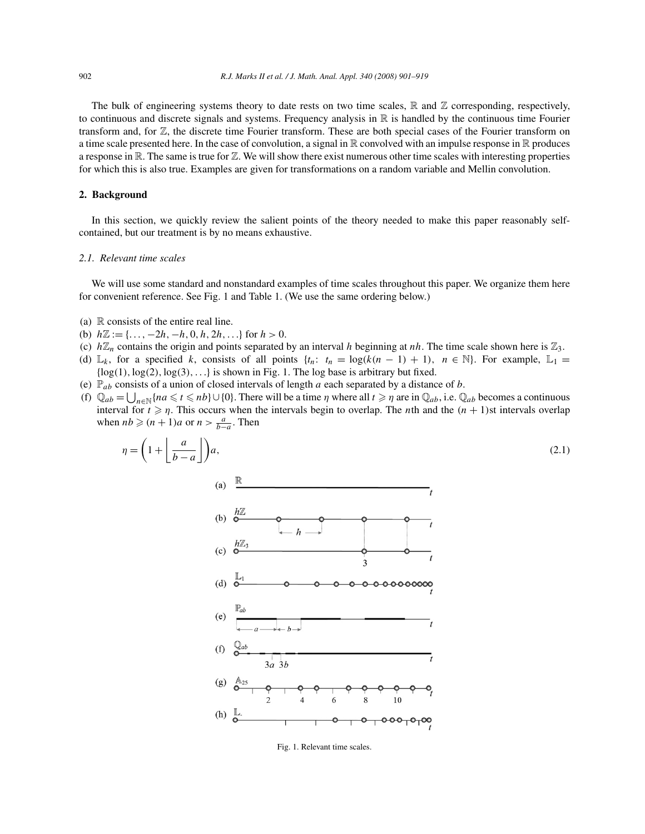The bulk of engineering systems theory to date rests on two time scales,  $\mathbb R$  and  $\mathbb Z$  corresponding, respectively, to continuous and discrete signals and systems. Frequency analysis in  $\mathbb R$  is handled by the continuous time Fourier transform and, for Z, the discrete time Fourier transform. These are both special cases of the Fourier transform on a time scale presented here. In the case of convolution, a signal in  $\mathbb R$  convolved with an impulse response in  $\mathbb R$  produces a response in  $\mathbb R$ . The same is true for  $\mathbb Z$ . We will show there exist numerous other time scales with interesting properties for which this is also true. Examples are given for transformations on a random variable and Mellin convolution.

#### **2. Background**

In this section, we quickly review the salient points of the theory needed to make this paper reasonably selfcontained, but our treatment is by no means exhaustive.

#### *2.1. Relevant time scales*

We will use some standard and nonstandard examples of time scales throughout this paper. We organize them here for convenient reference. See Fig. 1 and Table 1. (We use the same ordering below.)

- (a)  $\mathbb R$  consists of the entire real line.
- (b)  $h\mathbb{Z} := \{\ldots, -2h, -h, 0, h, 2h, \ldots\}$  for  $h > 0$ .
- (c)  $h\mathbb{Z}_n$  contains the origin and points separated by an interval h beginning at nh. The time scale shown here is  $\mathbb{Z}_3$ .
- (d)  $\mathbb{L}_k$ , for a specified k, consists of all points  $\{t_n: t_n = \log(k(n-1) + 1), n \in \mathbb{N}\}\$ . For example,  $\mathbb{L}_1 =$  $\{log(1), log(2), log(3), ...\}$  is shown in Fig. 1. The log base is arbitrary but fixed.
- (e)  $\mathbb{P}_{ab}$  consists of a union of closed intervals of length a each separated by a distance of b.
- (f)  $\mathbb{Q}_{ab} = \bigcup_{n \in \mathbb{N}} \{na \le t \le nb\} \cup \{0\}$ . There will be a time  $\eta$  where all  $t \ge \eta$  are in  $\mathbb{Q}_{ab}$ , i.e.  $\mathbb{Q}_{ab}$  becomes a continuous interval for  $t \ge \eta$ . This occurs when the intervals begin to overlap. The *n*th and the  $(n + 1)$ st intervals overlap when  $nb \geqslant (n + 1)a$  or  $n > \frac{a}{b-a}$ . Then



Fig. 1. Relevant time scales.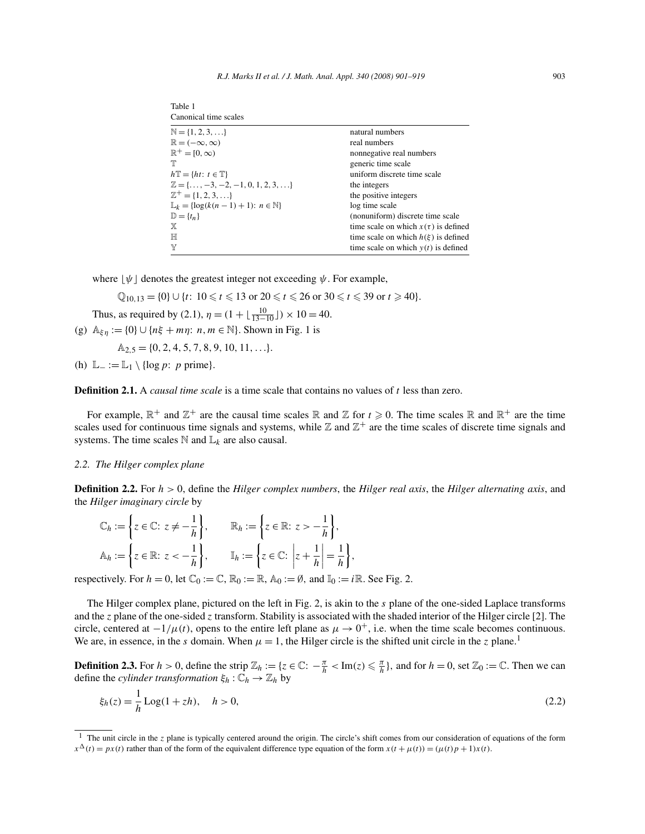| Table 1                                                    |                                          |
|------------------------------------------------------------|------------------------------------------|
| Canonical time scales                                      |                                          |
| $\mathbb{N} = \{1, 2, 3, \ldots\}$                         | natural numbers                          |
| $\mathbb{R} = (-\infty, \infty)$                           | real numbers                             |
| $\mathbb{R}^+ = [0, \infty)$                               | nonnegative real numbers                 |
| $\mathbb T$                                                | generic time scale                       |
| $h\mathbb{T} = \{ht: t \in \mathbb{T}\}\$                  | uniform discrete time scale              |
| $\mathbb{Z} = \{\ldots, -3, -2, -1, 0, 1, 2, 3, \ldots\}$  | the integers                             |
| $\mathbb{Z}^+ = \{1, 2, 3, \ldots\}$                       | the positive integers                    |
| $\mathbb{L}_k = \{ \log(k(n-1) + 1) : n \in \mathbb{N} \}$ | log time scale                           |
| $\mathbb{D} = \{t_n\}$                                     | (nonuniform) discrete time scale         |
| X                                                          | time scale on which $x(\tau)$ is defined |
| H                                                          | time scale on which $h(\xi)$ is defined  |
| Y                                                          | time scale on which $y(t)$ is defined    |

where  $|\psi|$  denotes the greatest integer not exceeding  $\psi$ . For example,

 $\mathbb{Q}_{10,13} = \{0\} \cup \{t: 10 \leq t \leq 13 \text{ or } 20 \leq t \leq 26 \text{ or } 30 \leq t \leq 39 \text{ or } t \geq 40\}.$ 

Thus, as required by (2.1),  $\eta = (1 + \lfloor \frac{10}{13 - 10} \rfloor) \times 10 = 40$ .

(g)  $A_{\xi\eta} := \{0\} \cup \{n\xi + m\eta: n, m \in \mathbb{N}\}\$ . Shown in Fig. 1 is

$$
\mathbb{A}_{2,5} = \{0, 2, 4, 5, 7, 8, 9, 10, 11, \ldots\}.
$$

(h)  $\mathbb{L}_{-} := \mathbb{L}_{1} \setminus \{ \log p : p \text{ prime} \}.$ 

**Definition 2.1.** A *causal time scale* is a time scale that contains no values of t less than zero.

For example,  $\mathbb{R}^+$  and  $\mathbb{Z}^+$  are the causal time scales  $\mathbb R$  and  $\mathbb Z$  for  $t \geq 0$ . The time scales  $\mathbb R$  and  $\mathbb{R}^+$  are the time scales used for continuous time signals and systems, while  $\mathbb Z$  and  $\mathbb Z^+$  are the time scales of discrete time signals and systems. The time scales  $\mathbb N$  and  $\mathbb L_k$  are also causal.

## *2.2. The Hilger complex plane*

**Definition 2.2.** For  $h > 0$ , define the *Hilger complex numbers*, the *Hilger real axis*, the *Hilger alternating axis*, and the *Hilger imaginary circle* by

$$
\mathbb{C}_h := \left\{ z \in \mathbb{C} : z \neq -\frac{1}{h} \right\}, \qquad \mathbb{R}_h := \left\{ z \in \mathbb{R} : z > -\frac{1}{h} \right\},\
$$
  

$$
\mathbb{A}_h := \left\{ z \in \mathbb{R} : z < -\frac{1}{h} \right\}, \qquad \mathbb{I}_h := \left\{ z \in \mathbb{C} : \left| z + \frac{1}{h} \right| = \frac{1}{h} \right\},\
$$

respectively. For  $h = 0$ , let  $\mathbb{C}_0 := \mathbb{C}$ ,  $\mathbb{R}_0 := \mathbb{R}$ ,  $\mathbb{A}_0 := \emptyset$ , and  $\mathbb{I}_0 := i\mathbb{R}$ . See Fig. 2.

The Hilger complex plane, pictured on the left in Fig. 2, is akin to the s plane of the one-sided Laplace transforms and the z plane of the one-sided z transform. Stability is associated with the shaded interior of the Hilger circle [2]. The circle, centered at  $-1/\mu(t)$ , opens to the entire left plane as  $\mu \to 0^+$ , i.e. when the time scale becomes continuous. We are, in essence, in the s domain. When  $\mu = 1$ , the Hilger circle is the shifted unit circle in the z plane.<sup>1</sup>

**Definition 2.3.** For  $h > 0$ , define the strip  $\mathbb{Z}_h := \{z \in \mathbb{C} : -\frac{\pi}{h} < \text{Im}(z) \leq \frac{\pi}{h}\}$ , and for  $h = 0$ , set  $\mathbb{Z}_0 := \mathbb{C}$ . Then we can define the *cylinder transformation*  $\xi_h : \mathbb{C}_h \to \mathbb{Z}_h$  by

$$
\xi_h(z) = \frac{1}{h} \text{Log}(1 + zh), \quad h > 0,
$$
\n(2.2)

<sup>&</sup>lt;sup>1</sup> The unit circle in the z plane is typically centered around the origin. The circle's shift comes from our consideration of equations of the form  $x^{\Delta}(t) = px(t)$  rather than of the form of the equivalent difference type equation of the form  $x(t + \mu(t)) = (\mu(t)p + 1)x(t)$ .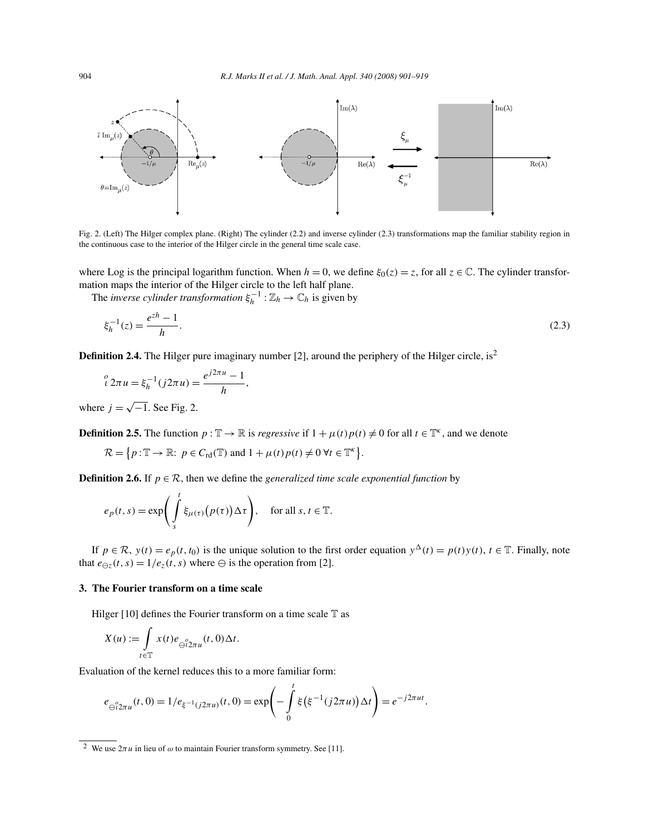

Fig. 2. (Left) The Hilger complex plane. (Right) The cylinder (2.2) and inverse cylinder (2.3) transformations map the familiar stability region in the continuous case to the interior of the Hilger circle in the general time scale case.

where Log is the principal logarithm function. When  $h = 0$ , we define  $\xi_0(z) = z$ , for all  $z \in \mathbb{C}$ . The cylinder transformation maps the interior of the Hilger circle to the left half plane.

The *inverse cylinder transformation*  $\xi_h^{-1} : \mathbb{Z}_h \to \mathbb{C}_h$  is given by

$$
\xi_h^{-1}(z) = \frac{e^{zh} - 1}{h}.\tag{2.3}
$$

**Definition 2.4.** The Hilger pure imaginary number [2], around the periphery of the Hilger circle, is<sup>2</sup>

$$
\iota^o 2\pi u = \xi_h^{-1}(j2\pi u) = \frac{e^{j2\pi u} - 1}{h},
$$

where  $j = \sqrt{-1}$ . See Fig. 2.

**Definition 2.5.** The function  $p : \mathbb{T} \to \mathbb{R}$  is *regressive* if  $1 + \mu(t)p(t) \neq 0$  for all  $t \in \mathbb{T}^k$ , and we denote

$$
\mathcal{R} = \{ p : \mathbb{T} \to \mathbb{R} : \ p \in C_{\rm rd}(\mathbb{T}) \text{ and } 1 + \mu(t) p(t) \neq 0 \ \forall t \in \mathbb{T}^{\kappa} \}.
$$

**Definition 2.6.** If  $p \in \mathcal{R}$ , then we define the *generalized time scale exponential function* by

$$
e_p(t,s) = \exp\left(\int_s^t \xi_{\mu(\tau)}(p(\tau)) \Delta \tau\right), \quad \text{for all } s, t \in \mathbb{T}.
$$

If  $p \in \mathcal{R}$ ,  $y(t) = e_p(t, t_0)$  is the unique solution to the first order equation  $y^{\Delta}(t) = p(t)y(t)$ ,  $t \in \mathbb{T}$ . Finally, note that  $e_{\ominus z}(t, s) = 1/e_z(t, s)$  where  $\ominus$  is the operation from [2].

### **3. The Fourier transform on a time scale**

Hilger [10] defines the Fourier transform on a time scale  $T$  as

$$
X(u) := \int\limits_{t \in \mathbb{T}} x(t) e_{\bigoplus_{i=1}^{n} u_i}(t,0) \Delta t.
$$

Evaluation of the kernel reduces this to a more familiar form:

$$
e_{\ominus^{0}2\pi u}(t,0)=1/e_{\xi^{-1}(j2\pi u)}(t,0)=\exp\left(-\int_{0}^{t}\xi(\xi^{-1}(j2\pi u))\Delta t\right)=e^{-j2\pi ut}.
$$

<sup>&</sup>lt;sup>2</sup> We use  $2\pi u$  in lieu of  $\omega$  to maintain Fourier transform symmetry. See [11].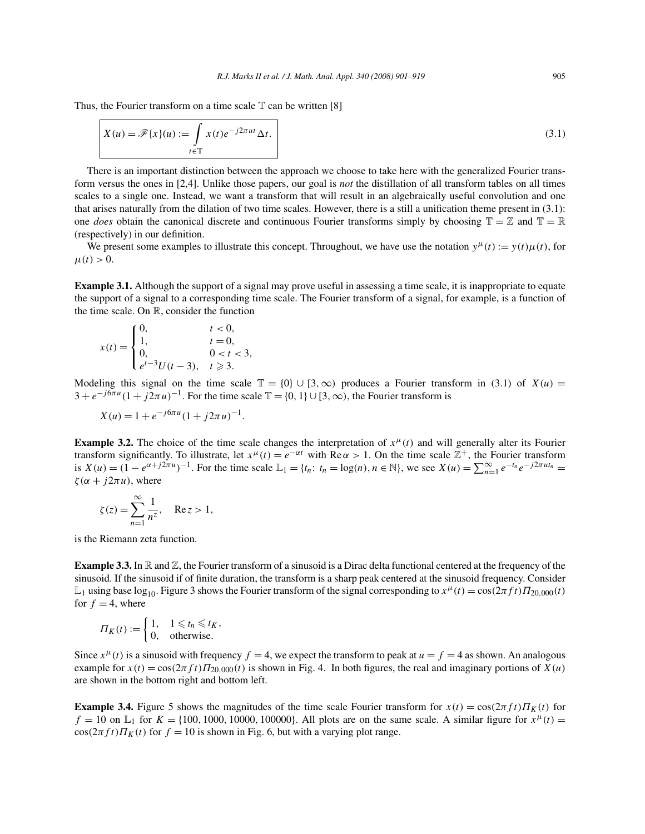Thus, the Fourier transform on a time scale  $\mathbb T$  can be written [8]

$$
X(u) = \mathscr{F}{x\}(u) := \int_{t \in \mathbb{T}} x(t)e^{-j2\pi ut} \Delta t.
$$
\n(3.1)

There is an important distinction between the approach we choose to take here with the generalized Fourier transform versus the ones in [2,4]. Unlike those papers, our goal is *not* the distillation of all transform tables on all times scales to a single one. Instead, we want a transform that will result in an algebraically useful convolution and one that arises naturally from the dilation of two time scales. However, there is a still a unification theme present in (3.1): one *does* obtain the canonical discrete and continuous Fourier transforms simply by choosing  $\mathbb{T} = \mathbb{Z}$  and  $\mathbb{T} = \mathbb{R}$ (respectively) in our definition.

We present some examples to illustrate this concept. Throughout, we have use the notation  $y^{\mu}(t) := y(t)\mu(t)$ , for  $\mu(t) > 0.$ 

**Example 3.1.** Although the support of a signal may prove useful in assessing a time scale, it is inappropriate to equate the support of a signal to a corresponding time scale. The Fourier transform of a signal, for example, is a function of the time scale. On R, consider the function

$$
x(t) = \begin{cases} 0, & t < 0, \\ 1, & t = 0, \\ 0, & 0 < t < 3, \\ e^{t-3}U(t-3), & t \ge 3. \end{cases}
$$

Modeling this signal on the time scale  $\mathbb{T} = \{0\} \cup [3,\infty)$  produces a Fourier transform in (3.1) of  $X(u) =$  $3 + e^{-j6\pi u} (1 + j2\pi u)^{-1}$ . For the time scale  $\mathbb{T} = \{0, 1\} \cup [3, \infty)$ , the Fourier transform is

$$
X(u) = 1 + e^{-j6\pi u} (1 + j2\pi u)^{-1}.
$$

**Example 3.2.** The choice of the time scale changes the interpretation of  $x^{\mu}(t)$  and will generally alter its Fourier transform significantly. To illustrate, let  $x^{\mu}(t) = e^{-\alpha t}$  with  $\text{Re}\,\alpha > 1$ . On the time scale  $\mathbb{Z}^{+}$ , the Fourier transform is  $X(u) = (1 - e^{\alpha + j2\pi u})^{-1}$ . For the time scale  $\mathbb{L}_1 = \{t_n : t_n = \log(n), n \in \mathbb{N}\}$ , we see  $X(u) = \sum_{n=1}^{\infty} e^{-t_n} e^{-j2\pi ut_n} =$  $\zeta(\alpha + j2\pi u)$ , where

$$
\zeta(z) = \sum_{n=1}^{\infty} \frac{1}{n^z}, \quad \text{Re}\, z > 1,
$$

is the Riemann zeta function.

**Example 3.3.** In  $\mathbb R$  and  $\mathbb Z$ , the Fourier transform of a sinusoid is a Dirac delta functional centered at the frequency of the sinusoid. If the sinusoid if of finite duration, the transform is a sharp peak centered at the sinusoid frequency. Consider  $\mathbb{L}_1$  using base log<sub>10</sub>. Figure 3 shows the Fourier transform of the signal corresponding to  $x^{\mu}(t) = \cos(2\pi ft) \Pi_{20,000}(t)$ for  $f = 4$ , where

$$
\Pi_K(t) := \begin{cases} 1, & 1 \leq t_n \leq t_K, \\ 0, & \text{otherwise.} \end{cases}
$$

Since  $x^{\mu}(t)$  is a sinusoid with frequency  $f = 4$ , we expect the transform to peak at  $u = f = 4$  as shown. An analogous example for  $x(t) = \cos(2\pi ft) \Pi_{20,000}(t)$  is shown in Fig. 4. In both figures, the real and imaginary portions of  $X(u)$ are shown in the bottom right and bottom left.

**Example 3.4.** Figure 5 shows the magnitudes of the time scale Fourier transform for  $x(t) = \cos(2\pi ft)\Pi_K(t)$  for  $f = 10$  on  $\mathbb{L}_1$  for  $K = \{100, 1000, 10000, 100000\}$ . All plots are on the same scale. A similar figure for  $x^{\mu}(t)$  $\cos(2\pi f t) \prod_K(t)$  for  $f = 10$  is shown in Fig. 6, but with a varying plot range.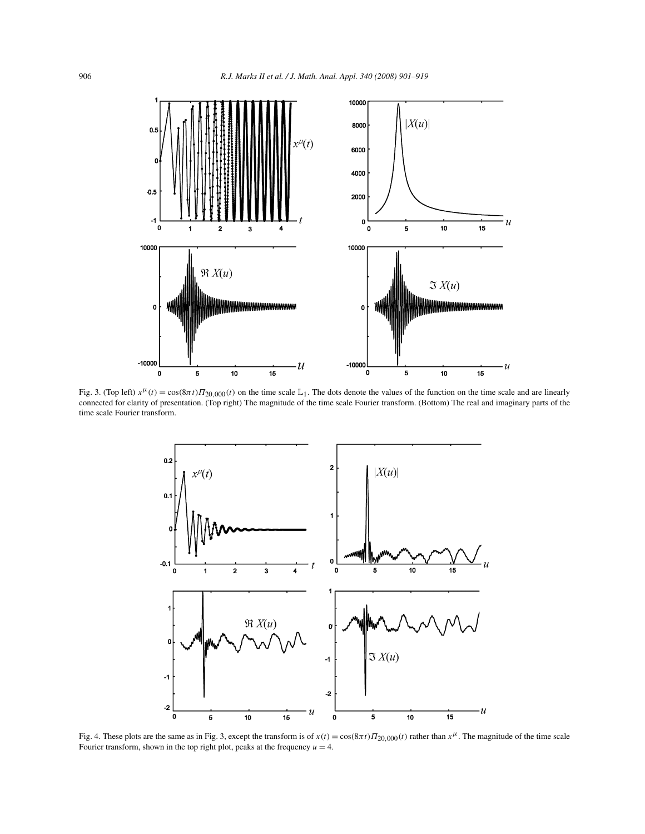

Fig. 3. (Top left)  $x^{\mu}(t) = \cos(\frac{8\pi t}{\Pi_{20,000}(t)})$  on the time scale L<sub>1</sub>. The dots denote the values of the function on the time scale and are linearly connected for clarity of presentation. (Top right) The magnitude of the time scale Fourier transform. (Bottom) The real and imaginary parts of the time scale Fourier transform.



Fig. 4. These plots are the same as in Fig. 3, except the transform is of  $x(t) = \cos(8\pi t) \Pi_{20,000}(t)$  rather than  $x^{\mu}$ . The magnitude of the time scale Fourier transform, shown in the top right plot, peaks at the frequency  $u = 4$ .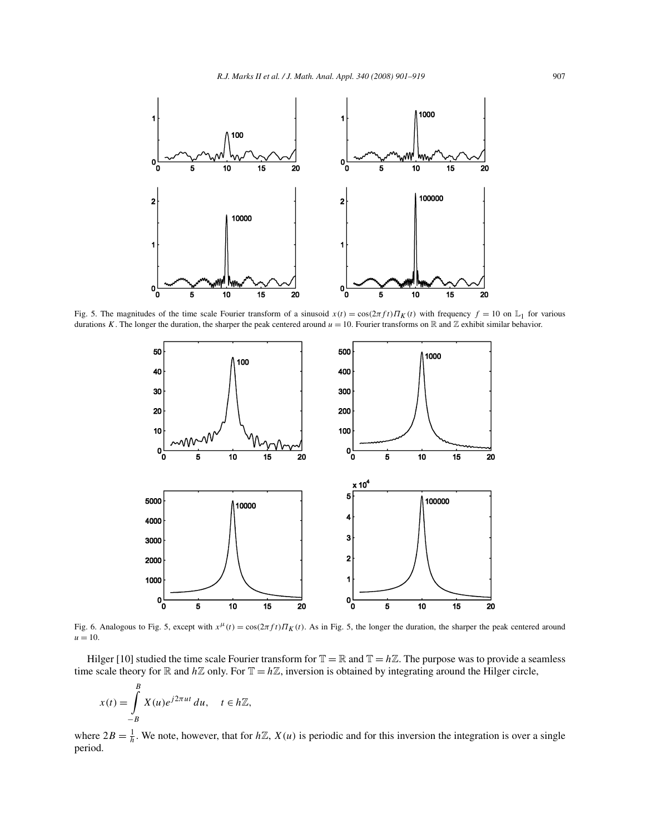

Fig. 5. The magnitudes of the time scale Fourier transform of a sinusoid  $x(t) = \cos(2\pi ft)\Pi_K(t)$  with frequency  $f = 10$  on  $\mathbb{L}_1$  for various durations K. The longer the duration, the sharper the peak centered around  $u = 10$ . Fourier transforms on R and Z exhibit similar behavior.



Fig. 6. Analogous to Fig. 5, except with  $x^{\mu}(t) = \cos(2\pi ft) \prod_{K}(t)$ . As in Fig. 5, the longer the duration, the sharper the peak centered around  $u = 10$ .

Hilger [10] studied the time scale Fourier transform for  $\mathbb{T} = \mathbb{R}$  and  $\mathbb{T} = h\mathbb{Z}$ . The purpose was to provide a seamless time scale theory for  $\mathbb R$  and  $h\mathbb Z$  only. For  $\mathbb T = h\mathbb Z$ , inversion is obtained by integrating around the Hilger circle,

$$
x(t) = \int_{-B}^{B} X(u)e^{j2\pi ut} du, \quad t \in h\mathbb{Z},
$$

where  $2B = \frac{1}{h}$ . We note, however, that for  $h\mathbb{Z}$ ,  $X(u)$  is periodic and for this inversion the integration is over a single period.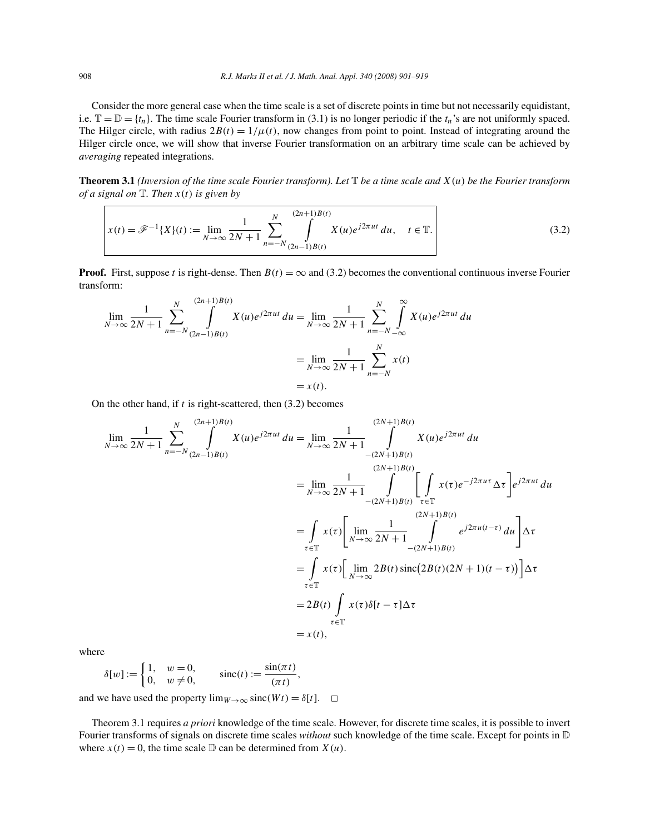Consider the more general case when the time scale is a set of discrete points in time but not necessarily equidistant, i.e.  $\mathbb{T} = \mathbb{D} = \{t_n\}$ . The time scale Fourier transform in (3.1) is no longer periodic if the  $t_n$ 's are not uniformly spaced. The Hilger circle, with radius  $2B(t) = 1/\mu(t)$ , now changes from point to point. Instead of integrating around the Hilger circle once, we will show that inverse Fourier transformation on an arbitrary time scale can be achieved by *averaging* repeated integrations.

**Theorem 3.1** *(Inversion of the time scale Fourier transform). Let* T *be a time scale and* X(u) *be the Fourier transform of a signal on* T*. Then* x(t) *is given by*

$$
x(t) = \mathcal{F}^{-1}{X}(t) := \lim_{N \to \infty} \frac{1}{2N + 1} \sum_{n = -N}^{N} \int_{(2n-1)B(t)}^{(2n+1)B(t)} X(u)e^{j2\pi ut} du, \quad t \in \mathbb{T}.
$$
 (3.2)

**Proof.** First, suppose t is right-dense. Then  $B(t) = \infty$  and (3.2) becomes the conventional continuous inverse Fourier transform:

$$
\lim_{N \to \infty} \frac{1}{2N+1} \sum_{n=-N}^{N} \int_{(2n-1)B(t)}^{(2n+1)B(t)} X(u)e^{j2\pi ut} du = \lim_{N \to \infty} \frac{1}{2N+1} \sum_{n=-N}^{N} \int_{-\infty}^{\infty} X(u)e^{j2\pi ut} du
$$

$$
= \lim_{N \to \infty} \frac{1}{2N+1} \sum_{n=-N}^{N} x(t)
$$

$$
= x(t).
$$

On the other hand, if  $t$  is right-scattered, then  $(3.2)$  becomes

$$
\lim_{N \to \infty} \frac{1}{2N + 1} \sum_{n = -N}^{N} \int_{(2n-1)B(t)}^{(2n+1)B(t)} X(u)e^{j2\pi ut} du = \lim_{N \to \infty} \frac{1}{2N + 1} \int_{-(2N+1)B(t)}^{(2N+1)B(t)} X(u)e^{j2\pi ut} du
$$
\n
$$
= \lim_{N \to \infty} \frac{1}{2N + 1} \int_{-(2N+1)B(t)}^{(2N+1)B(t)} \left[ \int_{\tau \in \mathbb{T}} x(\tau)e^{-j2\pi ut} \Delta \tau \right] e^{j2\pi ut} du
$$
\n
$$
= \int_{\tau \in \mathbb{T}} x(\tau) \left[ \lim_{N \to \infty} \frac{1}{2N + 1} \int_{-(2N+1)B(t)}^{(2N+1)B(t)} e^{j2\pi u(\tau - \tau)} du \right] \Delta \tau
$$
\n
$$
= \int_{\tau \in \mathbb{T}} x(\tau) \left[ \lim_{N \to \infty} 2B(t) \operatorname{sinc}(2B(t)(2N + 1)(t - \tau)) \right] \Delta \tau
$$
\n
$$
= 2B(t) \int_{\tau \in \mathbb{T}} x(\tau) \delta[t - \tau] \Delta \tau
$$
\n
$$
= x(t),
$$

where

$$
\delta[w] := \begin{cases} 1, & w = 0, \\ 0, & w \neq 0, \end{cases} \quad \text{sinc}(t) := \frac{\sin(\pi t)}{(\pi t)},
$$

and we have used the property  $\lim_{W\to\infty} \text{sinc}(Wt) = \delta[t]$ .  $\Box$ 

Theorem 3.1 requires *a priori* knowledge of the time scale. However, for discrete time scales, it is possible to invert Fourier transforms of signals on discrete time scales *without* such knowledge of the time scale. Except for points in D where  $x(t) = 0$ , the time scale  $D$  can be determined from  $X(u)$ .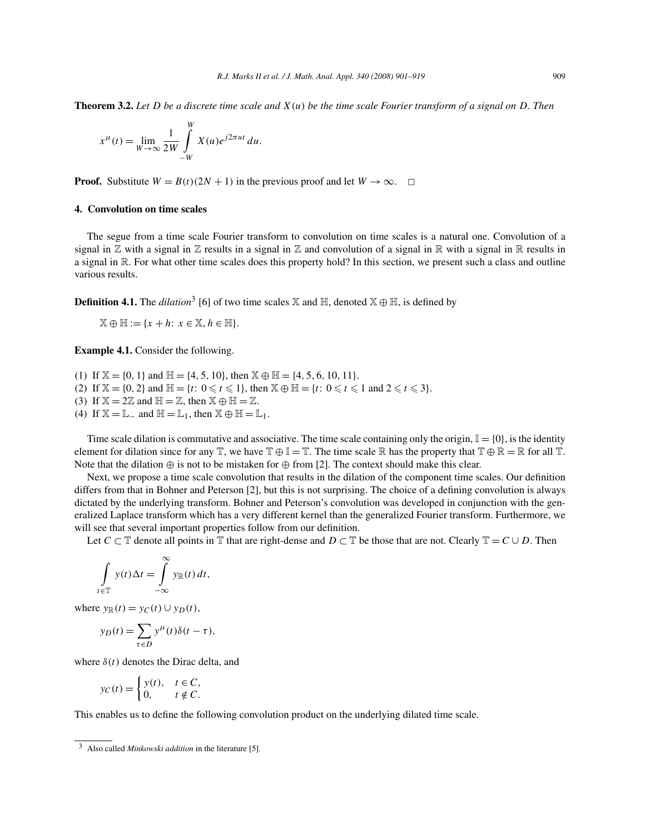**Theorem 3.2.** *Let* D *be a discrete time scale and* X(u) *be the time scale Fourier transform of a signal on* D*. Then*

$$
x^{\mu}(t) = \lim_{W \to \infty} \frac{1}{2W} \int_{-W}^{W} X(u)e^{j2\pi ut} du.
$$

**Proof.** Substitute  $W = B(t)(2N + 1)$  in the previous proof and let  $W \to \infty$ .  $\Box$ 

# **4. Convolution on time scales**

The segue from a time scale Fourier transform to convolution on time scales is a natural one. Convolution of a signal in  $\mathbb Z$  with a signal in  $\mathbb Z$  results in a signal in  $\mathbb Z$  and convolution of a signal in  $\mathbb R$  with a signal in  $\mathbb R$  results in a signal in R. For what other time scales does this property hold? In this section, we present such a class and outline various results.

**Definition 4.1.** The *dilation*<sup>3</sup> [6] of two time scales  $X$  and  $H$ , denoted  $X \oplus H$ , is defined by

 $\mathbb{X} \oplus \mathbb{H} := \{x + h: x \in \mathbb{X}, h \in \mathbb{H}\}.$ 

**Example 4.1.** Consider the following.

(1) If  $\mathbb{X} = \{0, 1\}$  and  $\mathbb{H} = \{4, 5, 10\}$ , then  $\mathbb{X} \oplus \mathbb{H} = \{4, 5, 6, 10, 11\}$ . (2) If  $\mathbb{X} = \{0, 2\}$  and  $\mathbb{H} = \{t: 0 \leq t \leq 1\}$ , then  $\mathbb{X} \oplus \mathbb{H} = \{t: 0 \leq t \leq 1 \text{ and } 2 \leq t \leq 3\}$ . (3) If  $X = 2\mathbb{Z}$  and  $\mathbb{H} = \mathbb{Z}$ , then  $X \oplus \mathbb{H} = \mathbb{Z}$ . (4) If  $\mathbb{X} = \mathbb{L}_-$  and  $\mathbb{H} = \mathbb{L}_1$ , then  $\mathbb{X} \oplus \mathbb{H} = \mathbb{L}_1$ .

Time scale dilation is commutative and associative. The time scale containing only the origin,  $\mathbb{I} = \{0\}$ , is the identity element for dilation since for any  $\mathbb{T}$ , we have  $\mathbb{T} \oplus \mathbb{I} = \mathbb{T}$ . The time scale R has the property that  $\mathbb{T} \oplus \mathbb{R} = \mathbb{R}$  for all  $\mathbb{T}$ . Note that the dilation  $\oplus$  is not to be mistaken for  $\oplus$  from [2]. The context should make this clear.

Next, we propose a time scale convolution that results in the dilation of the component time scales. Our definition differs from that in Bohner and Peterson [2], but this is not surprising. The choice of a defining convolution is always dictated by the underlying transform. Bohner and Peterson's convolution was developed in conjunction with the generalized Laplace transform which has a very different kernel than the generalized Fourier transform. Furthermore, we will see that several important properties follow from our definition.

Let  $C \subset \mathbb{T}$  denote all points in  $\mathbb{T}$  that are right-dense and  $D \subset \mathbb{T}$  be those that are not. Clearly  $\mathbb{T} = C \cup D$ . Then

$$
\int_{t\in\mathbb{T}} y(t)\Delta t = \int_{-\infty}^{\infty} y_{\mathbb{R}}(t) dt,
$$

where  $y_{\mathbb{R}}(t) = y_C(t) \cup y_D(t)$ ,

$$
y_D(t) = \sum_{\tau \in D} y^{\mu}(t) \delta(t - \tau),
$$

where  $\delta(t)$  denotes the Dirac delta, and

$$
y_C(t) = \begin{cases} y(t), & t \in C, \\ 0, & t \notin C. \end{cases}
$$

This enables us to define the following convolution product on the underlying dilated time scale.

<sup>3</sup> Also called *Minkowski addition* in the literature [5].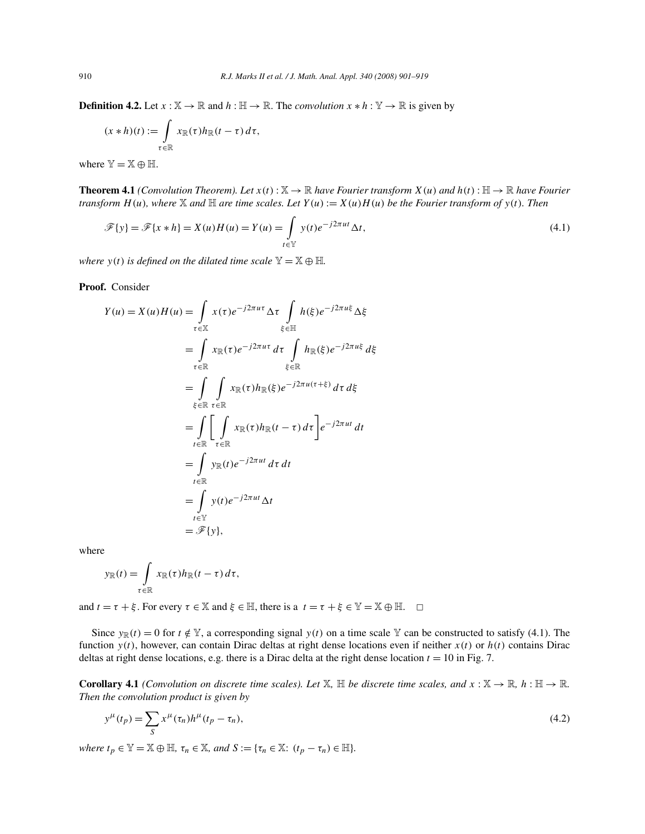**Definition 4.2.** Let  $x : \mathbb{X} \to \mathbb{R}$  and  $h : \mathbb{H} \to \mathbb{R}$ . The *convolution*  $x * h : \mathbb{Y} \to \mathbb{R}$  is given by

$$
(x * h)(t) := \int_{\tau \in \mathbb{R}} x_{\mathbb{R}}(\tau) h_{\mathbb{R}}(t - \tau) d\tau,
$$

where  $\mathbb{Y} = \mathbb{X} \oplus \mathbb{H}$ .

**Theorem 4.1** *(Convolution Theorem). Let*  $x(t): \mathbb{X} \to \mathbb{R}$  *have Fourier transform*  $X(u)$  *and*  $h(t): \mathbb{H} \to \mathbb{R}$  *have Fourier transform*  $H(u)$ *, where* X *and*  $\mathbb H$  *are time scales. Let*  $Y(u) := X(u)H(u)$  *be the Fourier transform of*  $y(t)$ *. Then* 

$$
\mathcal{F}{y} = \mathcal{F}{x * h} = X(u)H(u) = Y(u) = \int_{t \in \mathbb{Y}} y(t)e^{-j2\pi ut} \Delta t,
$$
\n(4.1)

*where*  $y(t)$  *is defined on the dilated time scale*  $\mathbb{Y} = \mathbb{X} \oplus \mathbb{H}$ *.* 

**Proof.** Consider

$$
Y(u) = X(u)H(u) = \int_{\tau \in \mathbb{X}} x(\tau)e^{-j2\pi u\tau} \Delta \tau \int_{\xi \in \mathbb{H}} h(\xi)e^{-j2\pi u\xi} \Delta \xi
$$
  
\n
$$
= \int_{\tau \in \mathbb{R}} x_{\mathbb{R}}(\tau)e^{-j2\pi u\tau} d\tau \int_{\xi \in \mathbb{R}} h_{\mathbb{R}}(\xi)e^{-j2\pi u\xi} d\xi
$$
  
\n
$$
= \int_{\xi \in \mathbb{R}} \int_{\tau \in \mathbb{R}} x_{\mathbb{R}}(\tau)h_{\mathbb{R}}(\xi)e^{-j2\pi u(\tau + \xi)} d\tau d\xi
$$
  
\n
$$
= \int_{\tau \in \mathbb{R}} \left[ \int_{\tau \in \mathbb{R}} x_{\mathbb{R}}(\tau)h_{\mathbb{R}}(\tau - \tau) d\tau \right] e^{-j2\pi ut} dt
$$
  
\n
$$
= \int_{\tau \in \mathbb{R}} y_{\mathbb{R}}(t)e^{-j2\pi ut} d\tau dt
$$
  
\n
$$
= \int_{\tau \in \mathbb{Y}} y(t)e^{-j2\pi ut} \Delta t
$$
  
\n
$$
= \mathcal{F}{y},
$$

where

$$
y_{\mathbb{R}}(t) = \int_{\tau \in \mathbb{R}} x_{\mathbb{R}}(\tau) h_{\mathbb{R}}(t-\tau) d\tau,
$$

and  $t = \tau + \xi$ . For every  $\tau \in \mathbb{X}$  and  $\xi \in \mathbb{H}$ , there is a  $t = \tau + \xi \in \mathbb{Y} = \mathbb{X} \oplus \mathbb{H}$ .  $\Box$ 

Since  $y_{\mathbb{R}}(t) = 0$  for  $t \notin \mathbb{Y}$ , a corresponding signal  $y(t)$  on a time scale Y can be constructed to satisfy (4.1). The function  $y(t)$ , however, can contain Dirac deltas at right dense locations even if neither  $x(t)$  or  $h(t)$  contains Dirac deltas at right dense locations, e.g. there is a Dirac delta at the right dense location  $t = 10$  in Fig. 7.

**Corollary 4.1** *(Convolution on discrete time scales). Let*  $\mathbb{X}$ ,  $\mathbb{H}$  *be discrete time scales, and*  $x : \mathbb{X} \to \mathbb{R}$ ,  $h : \mathbb{H} \to \mathbb{R}$ . *Then the convolution product is given by*

$$
y^{\mu}(t_p) = \sum_{S} x^{\mu}(\tau_n) h^{\mu}(t_p - \tau_n), \qquad (4.2)
$$

*where*  $t_p \in \mathbb{Y} = \mathbb{X} \oplus \mathbb{H}$ *,*  $\tau_n \in \mathbb{X}$ *, and*  $S := \{\tau_n \in \mathbb{X} : (t_p - \tau_n) \in \mathbb{H}\}.$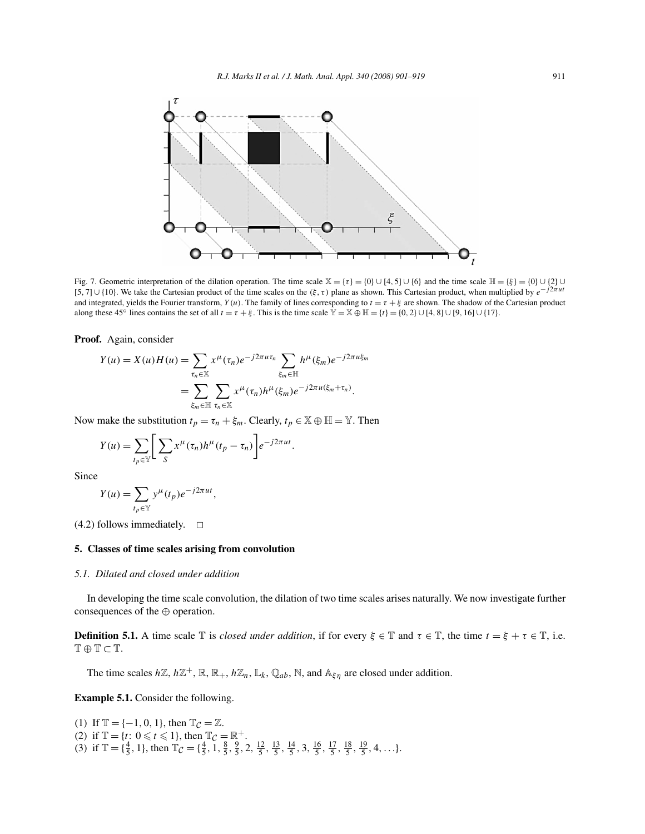

Fig. 7. Geometric interpretation of the dilation operation. The time scale  $\mathbb{X} = {\tau} = {0} \cup {4, 5} \cup {6}$  and the time scale  $\mathbb{H} = {\xi} = {0} \cup {2} \cup$ [5, 7]∪{10}. We take the Cartesian product of the time scales on the ( $\xi$ ,  $\tau$ ) plane as shown. This Cartesian product, when multiplied by  $e^{-j2\pi ut}$ and integrated, yields the Fourier transform,  $Y(u)$ . The family of lines corresponding to  $t = \tau + \xi$  are shown. The shadow of the Cartesian product along these 45<sup>°</sup> lines contains the set of all  $t = \tau + \xi$ . This is the time scale  $\mathbb{Y} = \mathbb{X} \oplus \mathbb{H} = \{t\} = \{0, 2\} \cup [4, 8] \cup [9, 16] \cup \{17\}.$ 

## **Proof.** Again, consider

$$
Y(u) = X(u)H(u) = \sum_{\tau_n \in \mathbb{X}} x^{\mu}(\tau_n)e^{-j2\pi u\tau_n} \sum_{\xi_m \in \mathbb{H}} h^{\mu}(\xi_m)e^{-j2\pi u\xi_m}
$$
  
= 
$$
\sum_{\xi_m \in \mathbb{H}} \sum_{\tau_n \in \mathbb{X}} x^{\mu}(\tau_n)h^{\mu}(\xi_m)e^{-j2\pi u(\xi_m + \tau_n)}.
$$

Now make the substitution  $t_p = \tau_n + \xi_m$ . Clearly,  $t_p \in \mathbb{X} \oplus \mathbb{H} = \mathbb{Y}$ . Then

$$
Y(u) = \sum_{t_p \in \mathbb{Y}} \left[ \sum_{S} x^{\mu}(\tau_n) h^{\mu}(t_p - \tau_n) \right] e^{-j2\pi ut}.
$$

Since

$$
Y(u) = \sum_{t_p \in \mathbb{Y}} y^{\mu}(t_p) e^{-j2\pi ut},
$$

 $(4.2)$  follows immediately.  $\Box$ 

### **5. Classes of time scales arising from convolution**

### *5.1. Dilated and closed under addition*

In developing the time scale convolution, the dilation of two time scales arises naturally. We now investigate further consequences of the ⊕ operation.

**Definition 5.1.** A time scale  $\mathbb{T}$  is *closed under addition*, if for every  $\xi \in \mathbb{T}$  and  $\tau \in \mathbb{T}$ , the time  $t = \xi + \tau \in \mathbb{T}$ , i.e.  $T \oplus T \subset T$ .

The time scales  $h\mathbb{Z}, h\mathbb{Z}^+, \mathbb{R}, \mathbb{R}_+, h\mathbb{Z}_n, \mathbb{L}_k, \mathbb{Q}_{ab}, \mathbb{N}$ , and  $\mathbb{A}_{\xi\eta}$  are closed under addition.

**Example 5.1.** Consider the following.

(1) If  $\mathbb{T} = \{-1, 0, 1\}$ , then  $\mathbb{T}_{\mathcal{C}} = \mathbb{Z}$ . (2) if  $\mathbb{T} = \{t: 0 \le t \le 1\}$ , then  $\mathbb{T}_C = \mathbb{R}^+$ . (3) if  $\mathbb{T} = {\frac{4}{5}, 1}$ , then  $\mathbb{T}_{\mathcal{C}} = {\frac{4}{5}, \frac{1}{5}, \frac{8}{5}, \frac{9}{5}, 2, \frac{12}{5}, \frac{13}{5}, \frac{14}{5}, 3, \frac{16}{5}, \frac{17}{5}, \frac{18}{5}, \frac{19}{5}, 4, \ldots}$ .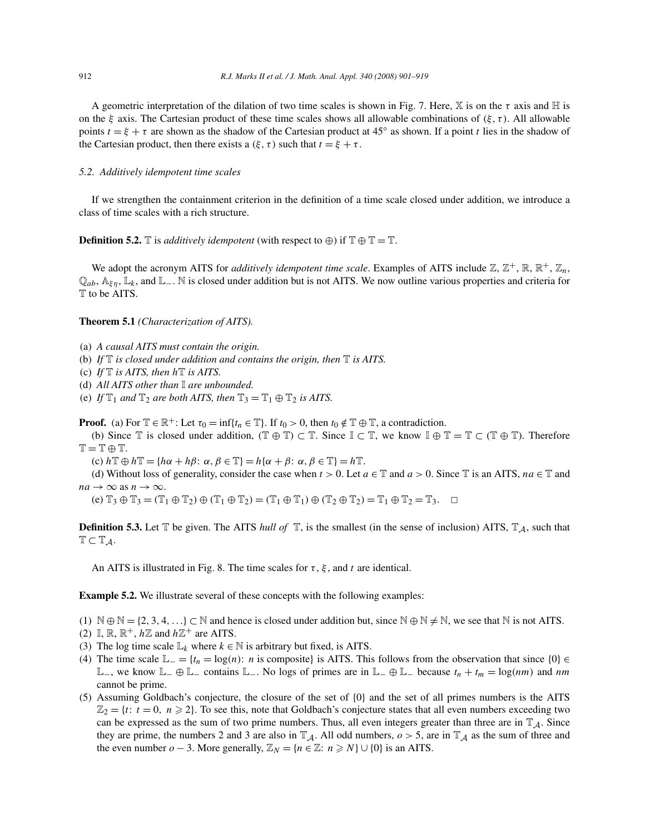A geometric interpretation of the dilation of two time scales is shown in Fig. 7. Here, X is on the  $\tau$  axis and H is on the  $\xi$  axis. The Cartesian product of these time scales shows all allowable combinations of  $(\xi, \tau)$ . All allowable points  $t = \xi + \tau$  are shown as the shadow of the Cartesian product at 45° as shown. If a point t lies in the shadow of the Cartesian product, then there exists a  $(\xi, \tau)$  such that  $t = \xi + \tau$ .

# *5.2. Additively idempotent time scales*

If we strengthen the containment criterion in the definition of a time scale closed under addition, we introduce a class of time scales with a rich structure.

**Definition 5.2.**  $\mathbb{T}$  is *additively idempotent* (with respect to  $\oplus$ ) if  $\mathbb{T} \oplus \mathbb{T} = \mathbb{T}$ .

We adopt the acronym AITS for *additively idempotent time scale*. Examples of AITS include  $\mathbb{Z}, \mathbb{Z}^+$ ,  $\mathbb{R}, \mathbb{R}^+$ ,  $\mathbb{Z}_n$ ,  $\mathbb{Q}_{ab}$ ,  $\mathbb{A}_{\xi n}$ ,  $\mathbb{L}_k$ , and  $\mathbb{L}_\mathbf{-}$ . N is closed under addition but is not AITS. We now outline various properties and criteria for T to be AITS.

#### **Theorem 5.1** *(Characterization of AITS).*

- (a) *A causal AITS must contain the origin.*
- (b) *If* T *is closed under addition and contains the origin, then* T *is AITS.*
- (c) *If* T *is AITS, then* hT *is AITS.*
- (d) *All AITS other than* I *are unbounded.*
- (e) *If*  $\mathbb{T}_1$  *and*  $\mathbb{T}_2$  *are both AITS, then*  $\mathbb{T}_3 = \mathbb{T}_1 \oplus \mathbb{T}_2$  *is AITS.*

**Proof.** (a) For  $\mathbb{T} \in \mathbb{R}^+$ : Let  $\tau_0 = \inf\{t_n \in \mathbb{T}\}\$ . If  $t_0 > 0$ , then  $t_0 \notin \mathbb{T} \oplus \mathbb{T}$ , a contradiction.

(b) Since  $\mathbb T$  is closed under addition,  $(\mathbb T \oplus \mathbb T) \subset \mathbb T$ . Since  $\mathbb I \subset \mathbb T$ , we know  $\mathbb I \oplus \mathbb T = \mathbb T \subset (\mathbb T \oplus \mathbb T)$ . Therefore  $T = T \oplus T$ .

(c)  $h \mathbb{T} \oplus h \mathbb{T} = \{h\alpha + h\beta : \alpha, \beta \in \mathbb{T}\} = h\{\alpha + \beta : \alpha, \beta \in \mathbb{T}\} = h \mathbb{T}.$ 

(d) Without loss of generality, consider the case when  $t > 0$ . Let  $a \in \mathbb{T}$  and  $a > 0$ . Since  $\mathbb{T}$  is an AITS,  $na \in \mathbb{T}$  and  $na \rightarrow \infty$  as  $n \rightarrow \infty$ .

(e)  $\mathbb{T}_3 \oplus \mathbb{T}_3 = (\mathbb{T}_1 \oplus \mathbb{T}_2) \oplus (\mathbb{T}_1 \oplus \mathbb{T}_2) = (\mathbb{T}_1 \oplus \mathbb{T}_1) \oplus (\mathbb{T}_2 \oplus \mathbb{T}_2) = \mathbb{T}_1 \oplus \mathbb{T}_2 = \mathbb{T}_3.$ 

**Definition 5.3.** Let  $\mathbb T$  be given. The AITS *hull of*  $\mathbb T$ , is the smallest (in the sense of inclusion) AITS,  $\mathbb T_{\mathcal A}$ , such that  $\mathbb{T} \subset \mathbb{T}_{\mathcal{A}}$ .

An AITS is illustrated in Fig. 8. The time scales for  $\tau$ ,  $\xi$ , and t are identical.

**Example 5.2.** We illustrate several of these concepts with the following examples:

- (1)  $\mathbb{N} \oplus \mathbb{N} = \{2, 3, 4, \ldots\} \subset \mathbb{N}$  and hence is closed under addition but, since  $\mathbb{N} \oplus \mathbb{N} \neq \mathbb{N}$ , we see that  $\mathbb{N}$  is not AITS.
- (2)  $\mathbb{I}, \mathbb{R}, \mathbb{R}^+, h\mathbb{Z}$  and  $h\mathbb{Z}^+$  are AITS.
- (3) The log time scale  $\mathbb{L}_k$  where  $k \in \mathbb{N}$  is arbitrary but fixed, is AITS.
- (4) The time scale  $\mathbb{L}_{-} = \{t_n = \log(n): n \text{ is composite}\}$  is AITS. This follows from the observation that since  $\{0\} \in$ L−, we know  $\mathbb{L}_-\oplus\mathbb{L}_-$  contains  $\mathbb{L}_-$ . No logs of primes are in  $\mathbb{L}_-\oplus\mathbb{L}_-$  because  $t_n + t_m = \log(nm)$  and  $nm$ cannot be prime.
- (5) Assuming Goldbach's conjecture, the closure of the set of {0} and the set of all primes numbers is the AITS  $\mathbb{Z}_2 = \{t: t = 0, n \geq 2\}$ . To see this, note that Goldbach's conjecture states that all even numbers exceeding two can be expressed as the sum of two prime numbers. Thus, all even integers greater than three are in  $\mathbb{T}_A$ . Since they are prime, the numbers 2 and 3 are also in  $\mathbb{T}_A$ . All odd numbers,  $o > 5$ , are in  $\mathbb{T}_A$  as the sum of three and the even number  $o - 3$ . More generally,  $\mathbb{Z}_N = \{n \in \mathbb{Z}: n \geq N\} \cup \{0\}$  is an AITS.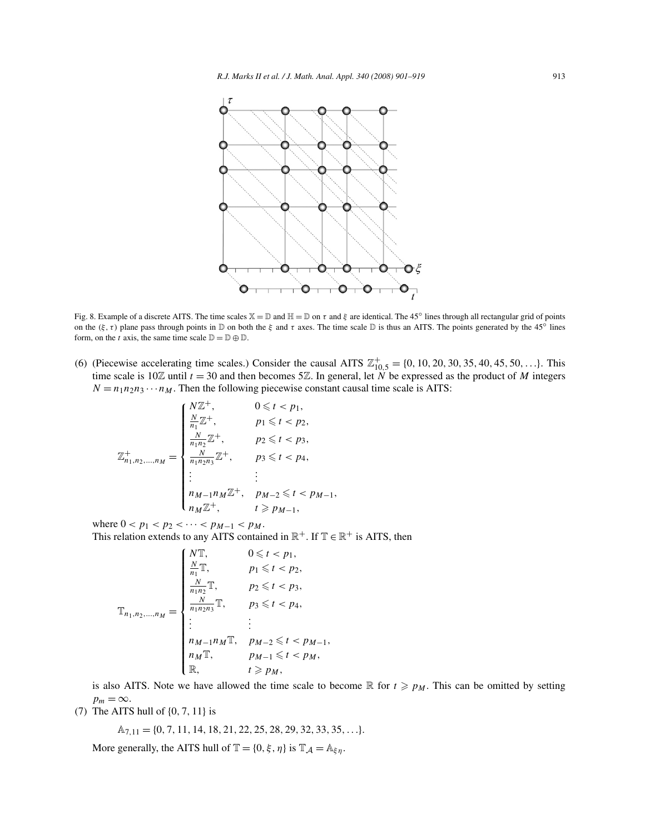

Fig. 8. Example of a discrete AITS. The time scales  $\mathbb{X} = \mathbb{D}$  and  $\mathbb{H} = \mathbb{D}$  on  $\tau$  and  $\xi$  are identical. The 45° lines through all rectangular grid of points on the  $(\xi, \tau)$  plane pass through points in D on both the  $\xi$  and  $\tau$  axes. The time scale D is thus an AITS. The points generated by the 45° lines form, on the t axis, the same time scale  $\mathbb{D} = \mathbb{D} \oplus \mathbb{D}$ .

(6) (Piecewise accelerating time scales.) Consider the causal AITS  $\mathbb{Z}_{10,5}^{+} = \{0, 10, 20, 30, 35, 40, 45, 50, ...\}$ . This time scale is 10 $\mathbb Z$  until  $t = 30$  and then becomes 5 $\mathbb Z$ . In general, let N be expressed as the product of M integers  $N = n_1 n_2 n_3 \cdots n_M$ . Then the following piecewise constant causal time scale is AITS:

$$
\mathbb{Z}_{n_1,n_2,...,n_M}^{+} = \begin{cases}\n\frac{N\mathbb{Z}^+}{n_1}\mathbb{Z}^+, & 0 \leq t < p_1, \\
\frac{N}{n_1n_2}\mathbb{Z}^+, & p_1 \leq t < p_2, \\
\frac{N}{n_1n_2}\mathbb{Z}^+, & p_2 \leq t < p_3, \\
\frac{N}{n_1n_2n_3}\mathbb{Z}^+, & p_3 \leq t < p_4, \\
\vdots & \vdots & \\
n_{M-1}n_M\mathbb{Z}^+, & p_{M-2} \leq t < p_{M-1}, \\
n_M\mathbb{Z}^+, & t \geq p_{M-1},\n\end{cases}
$$

where  $0 < p_1 < p_2 < \cdots < p_{M-1} < p_M$ . This relation extends to any AITS contained in  $\mathbb{R}^+$ . If  $\mathbb{T} \in \mathbb{R}^+$  is AITS, then

$$
\mathbb{T}_{n_1, n_2, \dots, n_M} = \begin{cases}\nN \mathbb{T}, & 0 \leq t < p_1, \\
\frac{N}{n_1} \mathbb{T}, & p_1 \leq t < p_2, \\
\frac{N}{n_1 n_2} \mathbb{T}, & p_2 \leq t < p_3, \\
\frac{N}{n_1 n_2 n_3} \mathbb{T}, & p_3 \leq t < p_4, \\
\vdots & \vdots & \\
n_{M-1} n_M \mathbb{T}, & p_{M-2} \leq t < p_{M-1}, \\
n_M \mathbb{T}, & p_{M-1} \leq t < p_M, \\
\mathbb{R}, & t \geq p_M,\n\end{cases}
$$

is also AITS. Note we have allowed the time scale to become R for  $t \geq p_M$ . This can be omitted by setting  $p_m = \infty$ .

(7) The AITS hull of {0, <sup>7</sup>, <sup>11</sup>} is

$$
\mathbb{A}_{7,11}=\{0,7,11,14,18,21,22,25,28,29,32,33,35,\ldots\}.
$$

More generally, the AITS hull of  $\mathbb{T} = \{0, \xi, \eta\}$  is  $\mathbb{T}_{\mathcal{A}} = \mathbb{A}_{\xi\eta}$ .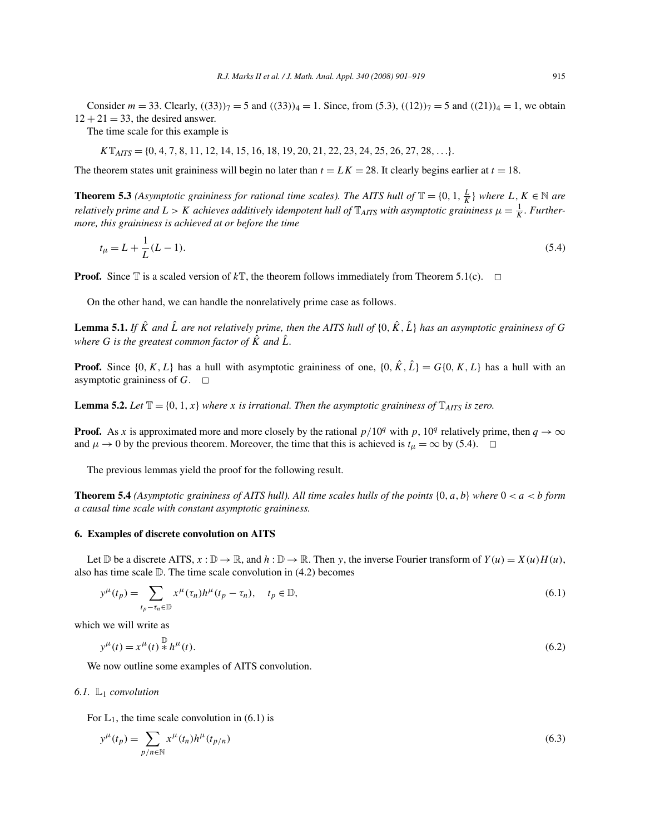Consider  $m = 33$ . Clearly,  $((33))_7 = 5$  and  $((33))_4 = 1$ . Since, from (5.3),  $((12))_7 = 5$  and  $((21))_4 = 1$ , we obtain  $12 + 21 = 33$ , the desired answer.

The time scale for this example is

 $K\mathbb{T}_{AITS} = \{0, 4, 7, 8, 11, 12, 14, 15, 16, 18, 19, 20, 21, 22, 23, 24, 25, 26, 27, 28, \ldots\}.$ 

The theorem states unit graininess will begin no later than  $t = LK = 28$ . It clearly begins earlier at  $t = 18$ .

**Theorem 5.3** *(Asymptotic graininess for rational time scales). The AITS hull of*  $\mathbb{T} = \{0, 1, \frac{L}{K}\}$  *where* L,  $K \in \mathbb{N}$  are *relatively prime and*  $L > K$  *achieves additively idempotent hull of*  $\mathbb{T}_{AITS}$  *with asymptotic graininess*  $\mu = \frac{1}{K}$ *. Furthermore, this graininess is achieved at or before the time*

$$
t_{\mu} = L + \frac{1}{L}(L - 1). \tag{5.4}
$$

**Proof.** Since  $\mathbb T$  is a scaled version of  $k\mathbb T$ , the theorem follows immediately from Theorem 5.1(c).  $\Box$ 

On the other hand, we can handle the nonrelatively prime case as follows.

**Lemma 5.1.** *If*  $\hat{K}$  *and*  $\hat{L}$  *are not relatively prime, then the AITS hull of*  $\{0, \hat{K}, \hat{L}\}$  *has an asymptotic graininess of*  $G$ *where* G is the greatest common factor of  $\hat{K}$  and  $\hat{L}$ *.* 

**Proof.** Since  $\{0, K, L\}$  has a hull with asymptotic graininess of one,  $\{0, \hat{K}, \hat{L}\} = G\{0, K, L\}$  has a hull with an asymptotic graininess of  $G$ .  $\square$ 

**Lemma 5.2.** *Let*  $\mathbb{T} = \{0, 1, x\}$  *where* x *is irrational. Then the asymptotic graininess of*  $\mathbb{T}_{AITS}$  *is zero.* 

**Proof.** As x is approximated more and more closely by the rational  $p/10q$  with p,  $10q$  relatively prime, then  $q \to \infty$ and  $\mu \to 0$  by the previous theorem. Moreover, the time that this is achieved is  $t_{\mu} = \infty$  by (5.4).  $\Box$ 

The previous lemmas yield the proof for the following result.

**Theorem 5.4** *(Asymptotic graininess of AITS hull). All time scales hulls of the points*  $\{0, a, b\}$  *where*  $0 < a < b$  *form a causal time scale with constant asymptotic graininess.*

## **6. Examples of discrete convolution on AITS**

Let  $\mathbb D$  be a discrete AITS,  $x : \mathbb D \to \mathbb R$ , and  $h : \mathbb D \to \mathbb R$ . Then y, the inverse Fourier transform of  $Y(u) = X(u)H(u)$ , also has time scale  $D$ . The time scale convolution in  $(4.2)$  becomes

$$
y^{\mu}(t_p) = \sum_{t_p - \tau_n \in \mathbb{D}} x^{\mu}(\tau_n) h^{\mu}(t_p - \tau_n), \quad t_p \in \mathbb{D},
$$
\n(6.1)

which we will write as

$$
y^{\mu}(t) = x^{\mu}(t) \stackrel{\mathbb{D}}{*} h^{\mu}(t). \tag{6.2}
$$

We now outline some examples of AITS convolution.

#### *6.1.* L<sup>1</sup> *convolution*

For  $\mathbb{L}_1$ , the time scale convolution in (6.1) is

$$
y^{\mu}(t_p) = \sum_{p/n \in \mathbb{N}} x^{\mu}(t_n) h^{\mu}(t_{p/n})
$$
\n(6.3)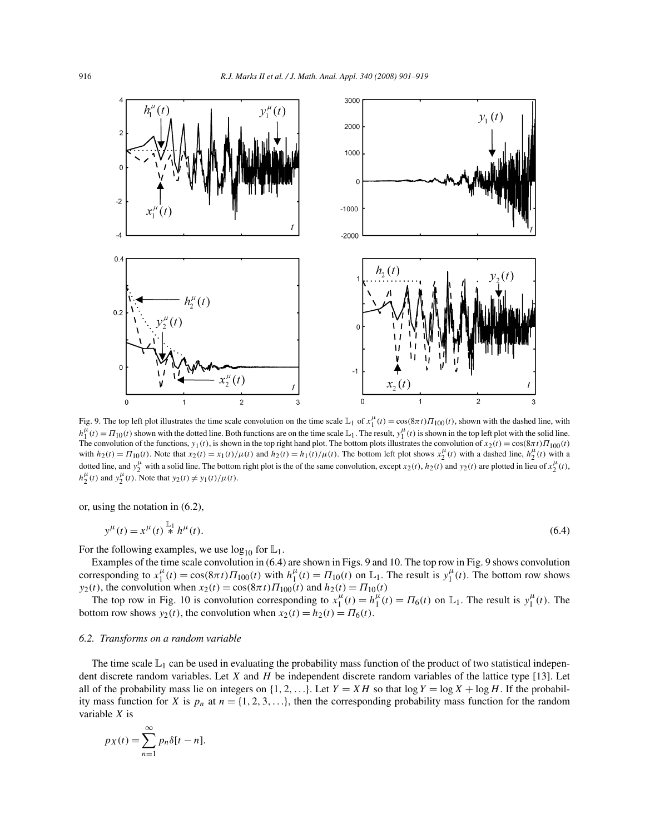

Fig. 9. The top left plot illustrates the time scale convolution on the time scale  $\mathbb{L}_1$  of  $x_1^{\mu}(t) = \cos((8\pi t) \Pi_{100}(t))$ , shown with the dashed line, with  $h_1^{\mu}(t) = \Pi_{10}(t)$  shown with the dotted line. Both functions are on the time scale  $\mathbb{L}_1$ . The result,  $y_1^{\mu}(t)$  is shown in the top left plot with the solid line. The convolution of the functions,  $y_1(t)$ , is shown in the top right hand plot. The bottom plots illustrates the convolution of  $x_2(t) = \cos((8\pi t) \Pi_{100}(t))$ with  $h_2(t) = \Pi_{10}(t)$ . Note that  $x_2(t) = x_1(t)/\mu(t)$  and  $h_2(t) = h_1(t)/\mu(t)$ . The bottom left plot shows  $x_2^{\mu}(t)$  with a dashed line,  $h_2^{\mu}(t)$  with a dashed line,  $h_2^{\mu}(t)$  with a dotted line, and  $y_2^{\mu}$  with a solid line. The bottom right plot is the of the same convolution, except  $x_2(t)$ ,  $h_2(t)$  and  $y_2(t)$  are plotted in lieu of  $x_2^{\mu}(t)$ ,  $h_2^{\mu}(t)$  and  $y_2^{\mu}(t)$ . Note that  $y_2(t) \neq y_1(t)/\mu(t)$ .

or, using the notation in (6.2),

$$
y^{\mu}(t) = x^{\mu}(t) \stackrel{\mathbb{L}_1}{*} h^{\mu}(t). \tag{6.4}
$$

For the following examples, we use  $log_{10}$  for  $\mathbb{L}_1$ .

Examples of the time scale convolution in (6.4) are shown in Figs. 9 and 10. The top row in Fig. 9 shows convolution corresponding to  $x_1^{\mu}(t) = \cos(8\pi t) \Pi_{100}(t)$  with  $h_1^{\mu}(t) = \Pi_{10}(t)$  on  $\mathbb{L}_1$ . The result is  $y_1^{\mu}(t)$ . The bottom row shows  $y_2(t)$ , the convolution when  $x_2(t) = \cos(\frac{8\pi t}{\Pi_{100}(t)})$  and  $h_2(t) = \Pi_{10}(t)$ 

The top row in Fig. 10 is convolution corresponding to  $x_1^{\mu}(t) = h_1^{\mu}(t) = \Pi_6(t)$  on  $\mathbb{L}_1$ . The result is  $y_1^{\mu}(t)$ . The bottom row shows  $y_2(t)$ , the convolution when  $x_2(t) = h_2(t) = \Pi_6(t)$ .

#### *6.2. Transforms on a random variable*

The time scale  $\mathbb{L}_1$  can be used in evaluating the probability mass function of the product of two statistical independent discrete random variables. Let  $X$  and  $H$  be independent discrete random variables of the lattice type [13]. Let all of the probability mass lie on integers on  $\{1, 2, ...\}$ . Let  $Y = XH$  so that  $\log Y = \log X + \log H$ . If the probability mass function for X is  $p_n$  at  $n = \{1, 2, 3, ...\}$ , then the corresponding probability mass function for the random variable X is

$$
p_X(t) = \sum_{n=1}^{\infty} p_n \delta[t - n].
$$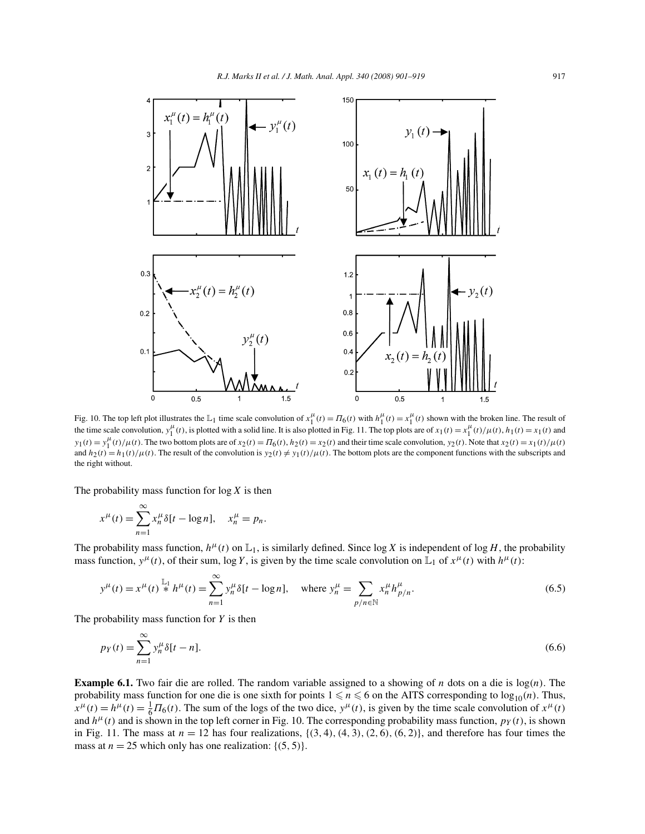

Fig. 10. The top left plot illustrates the  $\mathbb{L}_1$  time scale convolution of  $x_1^{\mu}(t) = \Pi_6(t)$  with  $h_1^{\mu}(t) = x_1^{\mu}(t)$  shown with the broken line. The result of the time scale convolution,  $y_1^{\mu}(t)$ , is plotted with a solid line. It is also plotted in Fig. 11. The top plots are of  $x_1(t) = x_1^{\mu}(t)/\mu(t)$ ,  $h_1(t) = x_1(t)$  and  $y_1(t) = y_1^{\mu}(t)/\mu(t)$ . The two bottom plots are of  $x_2(t) = \Pi_6(t)$ ,  $h_2(t) = x_2(t)$  and their time scale convolution,  $y_2(t)$ . Note that  $x_2(t) = x_1(t)/\mu(t)$ and  $h_2(t) = h_1(t)/\mu(t)$ . The result of the convolution is  $y_2(t) \neq y_1(t)/\mu(t)$ . The bottom plots are the component functions with the subscripts and the right without.

The probability mass function for  $log X$  is then

$$
x^{\mu}(t) = \sum_{n=1}^{\infty} x_n^{\mu} \delta[t - \log n], \quad x_n^{\mu} = p_n.
$$

The probability mass function,  $h^{\mu}(t)$  on  $\mathbb{L}_1$ , is similarly defined. Since log X is independent of log H, the probability mass function,  $y^{\mu}(t)$ , of their sum, log Y, is given by the time scale convolution on  $\mathbb{L}_1$  of  $x^{\mu}(t)$  with  $h^{\mu}(t)$ :

$$
y^{\mu}(t) = x^{\mu}(t) \stackrel{\mathbb{L}_1}{*} h^{\mu}(t) = \sum_{n=1}^{\infty} y_n^{\mu} \delta[t - \log n], \quad \text{where } y_n^{\mu} = \sum_{p/n \in \mathbb{N}} x_n^{\mu} h_{p/n}^{\mu}.
$$
 (6.5)

The probability mass function for  $Y$  is then

$$
p_Y(t) = \sum_{n=1}^{\infty} y_n^{\mu} \delta[t - n].
$$
\n(6.6)

**Example 6.1.** Two fair die are rolled. The random variable assigned to a showing of n dots on a die is  $log(n)$ . The probability mass function for one die is one sixth for points  $1 \le n \le 6$  on the AITS corresponding to  $log_{10}(n)$ . Thus,  $x^{\mu}(t) = h^{\mu}(t) = \frac{1}{6}\Pi_6(t)$ . The sum of the logs of the two dice,  $y^{\mu}(t)$ , is given by the time scale convolution of  $x^{\mu}(t)$ and  $h^{\mu}(t)$  and is shown in the top left corner in Fig. 10. The corresponding probability mass function,  $p_Y(t)$ , is shown in Fig. 11. The mass at  $n = 12$  has four realizations,  $\{(3, 4), (4, 3), (2, 6), (6, 2)\}$ , and therefore has four times the mass at  $n = 25$  which only has one realization: {(5, 5)}.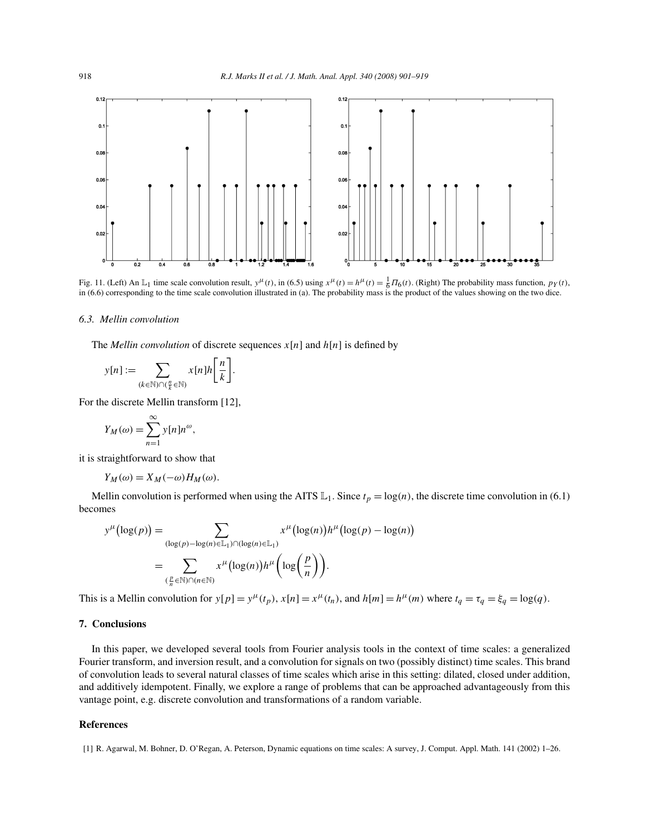

Fig. 11. (Left) An  $\mathbb{L}_1$  time scale convolution result,  $y^{\mu}(t)$ , in (6.5) using  $x^{\mu}(t) = h^{\mu}(t) = \frac{1}{6} \Pi_6(t)$ . (Right) The probability mass function,  $p_Y(t)$ , in (6.6) corresponding to the time scale convolution illustrated in (a). The probability mass is the product of the values showing on the two dice.

#### *6.3. Mellin convolution*

The *Mellin convolution* of discrete sequences  $x[n]$  and  $h[n]$  is defined by

$$
y[n] := \sum_{(k \in \mathbb{N}) \cap (\frac{n}{k} \in \mathbb{N})} x[n]h\left[\frac{n}{k}\right].
$$

For the discrete Mellin transform [12],

$$
Y_M(\omega) = \sum_{n=1}^{\infty} y[n]n^{\omega},
$$

it is straightforward to show that

$$
Y_M(\omega) = X_M(-\omega)H_M(\omega).
$$

Mellin convolution is performed when using the AITS  $\mathbb{L}_1$ . Since  $t_p = \log(n)$ , the discrete time convolution in (6.1) becomes

$$
y^{\mu}(\log(p)) = \sum_{(\log(p) - \log(n) \in \mathbb{L}_1) \cap (\log(n) \in \mathbb{L}_1)} x^{\mu}(\log(n))h^{\mu}(\log(p) - \log(n))
$$
  
= 
$$
\sum_{(\frac{p}{n} \in \mathbb{N}) \cap (n \in \mathbb{N})} x^{\mu}(\log(n))h^{\mu}(\log(\frac{p}{n})).
$$

This is a Mellin convolution for  $y[p] = y^{\mu}(t_p)$ ,  $x[n] = x^{\mu}(t_n)$ , and  $h[m] = h^{\mu}(m)$  where  $t_q = \tau_q = \xi_q = \log(q)$ .

## **7. Conclusions**

In this paper, we developed several tools from Fourier analysis tools in the context of time scales: a generalized Fourier transform, and inversion result, and a convolution for signals on two (possibly distinct) time scales. This brand of convolution leads to several natural classes of time scales which arise in this setting: dilated, closed under addition, and additively idempotent. Finally, we explore a range of problems that can be approached advantageously from this vantage point, e.g. discrete convolution and transformations of a random variable.

## **References**

[1] R. Agarwal, M. Bohner, D. O'Regan, A. Peterson, Dynamic equations on time scales: A survey, J. Comput. Appl. Math. 141 (2002) 1–26.